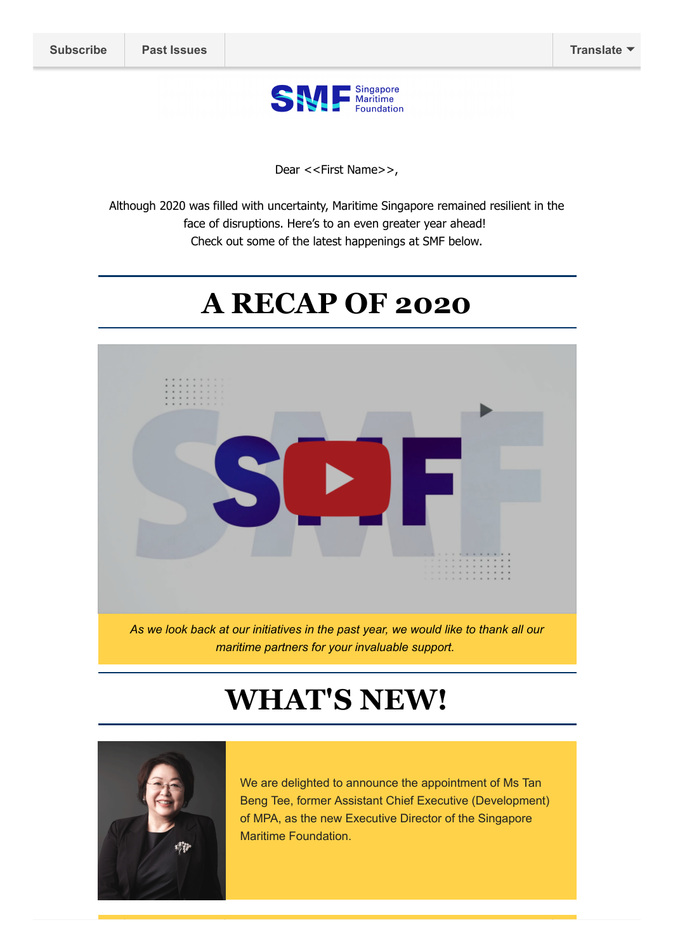

Dear <<First Name>>,

Although 2020 was filled with uncertainty, Maritime Singapore remained resilient in the face of disruptions. Here's to an even greater year ahead! Check out some of the latest happenings at SMF below.

### **A RECAP OF 2020**



*maritime partners for your invaluable support.*

# **WHAT'S NEW!**



We are delighted to announce the appointment of Ms Tan Beng Tee, former Assistant Chief Executive (Development) of MPA, as the new Executive Director of the Singapore Maritime Foundation.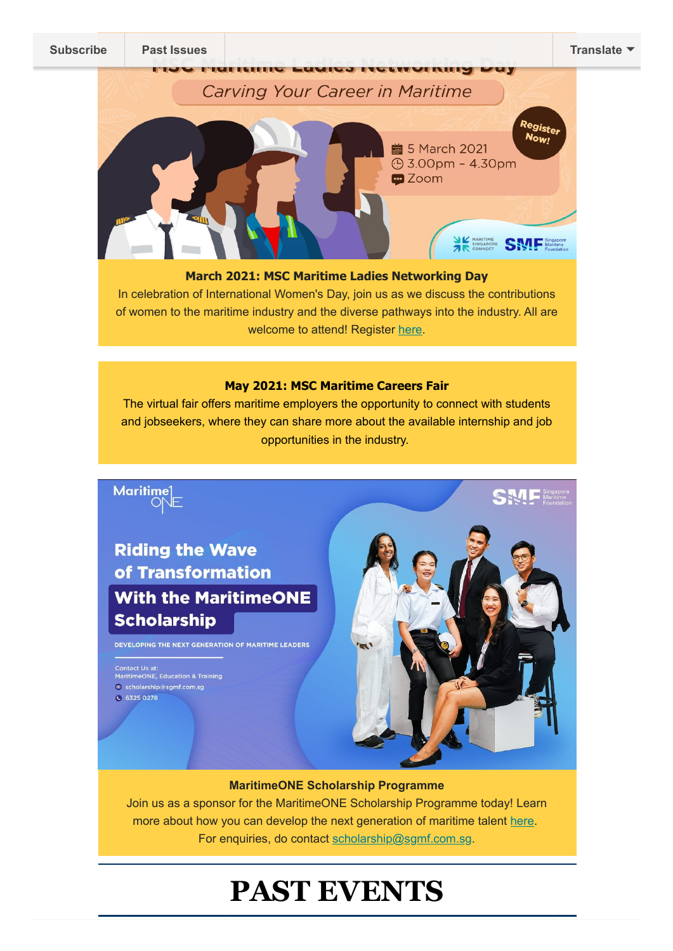

#### **March 2021: MSC Maritime Ladies Networking Day**

In celebration of International Women's Day, join us as we discuss the contributions of women to the maritime industry and the diverse pathways into the industry. All are welcome to attend! Register [here](https://bit.ly/MSCLND).

#### **May 2021: MSC Maritime Careers Fair**

The virtual fair offers maritime employers the opportunity to connect with students and jobseekers, where they can share more about the available internship and job opportunities in the industry.



**MaritimeONE Scholarship Programme**

Join us as a sponsor for the MaritimeONE Scholarship Programme today! Learn more about how you can develop the next generation of maritime talent [here](https://www.smf.com.sg/wp-content/uploads/2021/02/MaritimeONE-Scholarship-Brochure-Corporate-2021.pdf). For enquiries, do contact [scholarship@sgmf.com.sg.](mailto:scholarship@sgmf.com.sg)

## **PAST EVENTS**